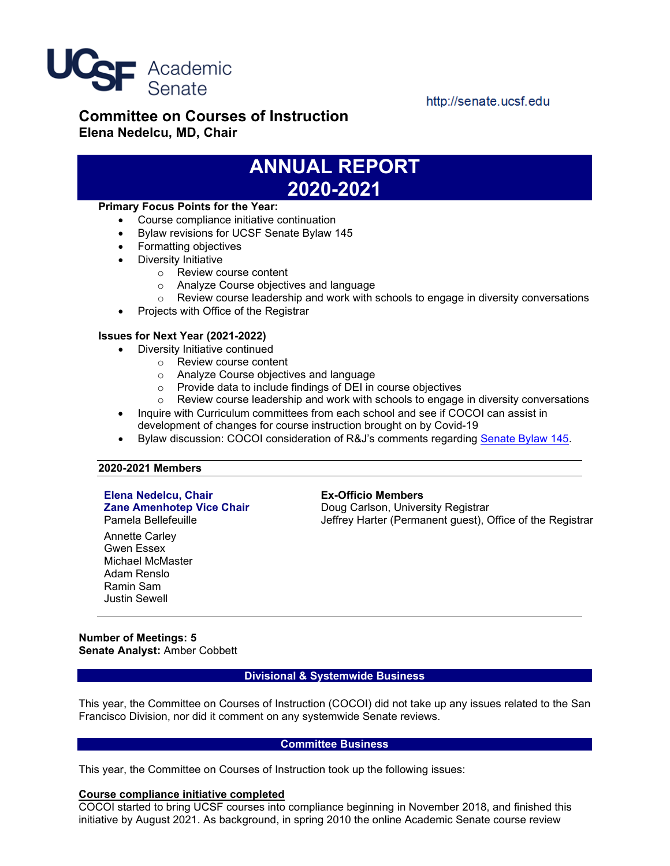

http://senate.ucsf.edu

### **Committee on Courses of Instruction Elena Nedelcu, MD, Chair**

## **ANNUAL REPORT 2020-2021**

#### **Primary Focus Points for the Year:**

- Course compliance initiative continuation
- Bylaw revisions for UCSF Senate Bylaw 145
- Formatting objectives
- Diversity Initiative
	- o Review course content
	- o Analyze Course objectives and language
	- $\circ$  Review course leadership and work with schools to engage in diversity conversations
- Projects with Office of the Registrar

#### **Issues for Next Year (2021-2022)**

- Diversity Initiative continued
	- o Review course content
	- o Analyze Course objectives and language
	- o Provide data to include findings of DEI in course objectives
	- $\circ$  Review course leadership and work with schools to engage in diversity conversations
- Inquire with Curriculum committees from each school and see if COCOI can assist in development of changes for course instruction brought on by Covid-19
- Bylaw discussion: COCOI consideration of R&J's comments regarding [Senate Bylaw 145.](https://senate.ucsf.edu/bylaws#no145)

#### **2020-2021 Members**

# **Elena Nedelcu, Chair Ex-Officio Members**

Annette Carley

Gwen Essex Michael McMaster Adam Renslo Ramin Sam Justin Sewell

**Zane Amenhotep Vice Chair** Doug Carlson, University Registrar<br>Pamela Bellefeuille **Chair** Jeffrey Harter (Permanent quest). Jeffrey Harter (Permanent guest), Office of the Registrar

**Number of Meetings: 5 Senate Analyst:** Amber Cobbett

#### **Divisional & Systemwide Business**

This year, the Committee on Courses of Instruction (COCOI) did not take up any issues related to the San Francisco Division, nor did it comment on any systemwide Senate reviews.

#### **Committee Business**

This year, the Committee on Courses of Instruction took up the following issues:

#### **Course compliance initiative completed**

COCOI started to bring UCSF courses into compliance beginning in November 2018, and finished this initiative by August 2021. As background, in spring 2010 the online Academic Senate course review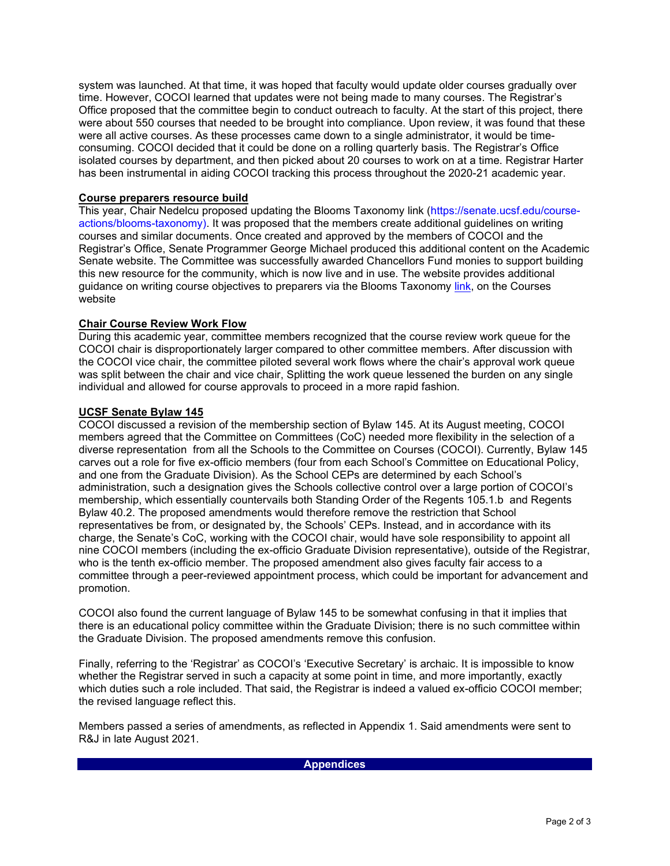system was launched. At that time, it was hoped that faculty would update older courses gradually over time. However, COCOI learned that updates were not being made to many courses. The Registrar's Office proposed that the committee begin to conduct outreach to faculty. At the start of this project, there were about 550 courses that needed to be brought into compliance. Upon review, it was found that these were all active courses. As these processes came down to a single administrator, it would be timeconsuming. COCOI decided that it could be done on a rolling quarterly basis. The Registrar's Office isolated courses by department, and then picked about 20 courses to work on at a time. Registrar Harter has been instrumental in aiding COCOI tracking this process throughout the 2020-21 academic year.

#### **Course preparers resource build**

This year, Chair Nedelcu proposed updating the Blooms Taxonomy link (https://senate.ucsf.edu/courseactions/blooms-taxonomy). It was proposed that the members create additional guidelines on writing courses and similar documents. Once created and approved by the members of COCOI and the Registrar's Office, Senate Programmer George Michael produced this additional content on the Academic Senate website. The Committee was successfully awarded Chancellors Fund monies to support building this new resource for the community, which is now live and in use. The website provides additional guidance on writing course objectives to preparers via the Blooms Taxonomy [link,](https://senate.ucsf.edu/course-actions/blooms-taxonomy) on the Courses website

#### **Chair Course Review Work Flow**

During this academic year, committee members recognized that the course review work queue for the COCOI chair is disproportionately larger compared to other committee members. After discussion with the COCOI vice chair, the committee piloted several work flows where the chair's approval work queue was split between the chair and vice chair, Splitting the work queue lessened the burden on any single individual and allowed for course approvals to proceed in a more rapid fashion.

#### **UCSF Senate Bylaw 145**

COCOI discussed a revision of the membership section of Bylaw 145. At its August meeting, COCOI members agreed that the Committee on Committees (CoC) needed more flexibility in the selection of a diverse representation from all the Schools to the Committee on Courses (COCOI). Currently, Bylaw 145 carves out a role for five ex-officio members (four from each School's Committee on Educational Policy, and one from the Graduate Division). As the School CEPs are determined by each School's administration, such a designation gives the Schools collective control over a large portion of COCOI's membership, which essentially countervails both Standing Order of the Regents 105.1.b and Regents Bylaw 40.2. The proposed amendments would therefore remove the restriction that School representatives be from, or designated by, the Schools' CEPs. Instead, and in accordance with its charge, the Senate's CoC, working with the COCOI chair, would have sole responsibility to appoint all nine COCOI members (including the ex-officio Graduate Division representative), outside of the Registrar, who is the tenth ex-officio member. The proposed amendment also gives faculty fair access to a committee through a peer-reviewed appointment process, which could be important for advancement and promotion.

COCOI also found the current language of Bylaw 145 to be somewhat confusing in that it implies that there is an educational policy committee within the Graduate Division; there is no such committee within the Graduate Division. The proposed amendments remove this confusion.

Finally, referring to the 'Registrar' as COCOI's 'Executive Secretary' is archaic. It is impossible to know whether the Registrar served in such a capacity at some point in time, and more importantly, exactly which duties such a role included. That said, the Registrar is indeed a valued ex-officio COCOI member; the revised language reflect this.

Members passed a series of amendments, as reflected in Appendix 1. Said amendments were sent to R&J in late August 2021.

#### **Appendices**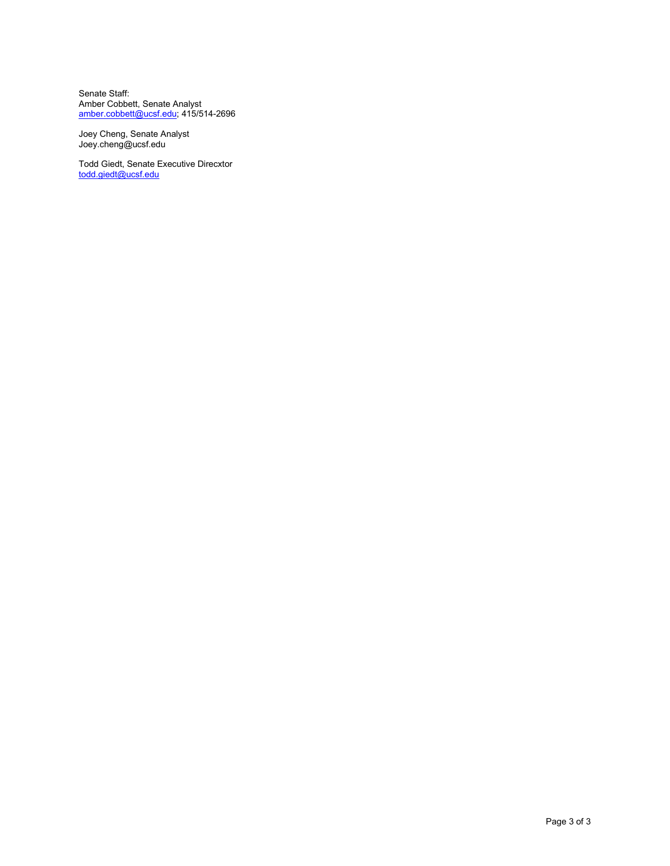Senate Staff: Amber Cobbett, Senate Analyst [amber.cobbett@ucsf.edu;](mailto:amber.cobbett@ucsf.edu) 415/514-2696

Joey Cheng, Senate Analyst [Joey.cheng@ucsf.edu](mailto:Joey.cheng@ucsf.edu) 

Todd Giedt, Senate Executive Direcxtor [todd.giedt@ucsf.edu](mailto:todd.giedt@ucsf.edu)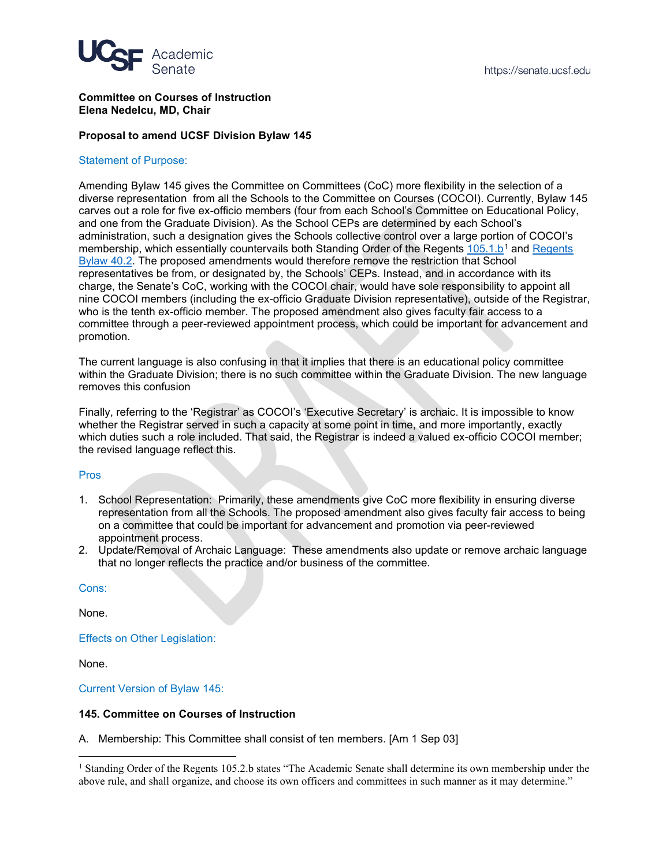

#### **Committee on Courses of Instruction Elena Nedelcu, MD, Chair**

#### **Proposal to amend UCSF Division Bylaw 145**

#### Statement of Purpose:

Amending Bylaw 145 gives the Committee on Committees (CoC) more flexibility in the selection of a diverse representation from all the Schools to the Committee on Courses (COCOI). Currently, Bylaw 145 carves out a role for five ex-officio members (four from each School's Committee on Educational Policy, and one from the Graduate Division). As the School CEPs are determined by each School's administration, such a designation gives the Schools collective control over a large portion of COCOI's membership, which essentially countervails both Standing Order of the Regents [105.1.b](https://regents.universityofcalifornia.edu/governance/standing-orders/so1051.html)<sup>[1](#page-3-0)</sup> and Regents [Bylaw 40.2.](https://regents.universityofcalifornia.edu/governance/bylaws/bl40.html#bl40.2) The proposed amendments would therefore remove the restriction that School representatives be from, or designated by, the Schools' CEPs. Instead, and in accordance with its charge, the Senate's CoC, working with the COCOI chair, would have sole responsibility to appoint all nine COCOI members (including the ex-officio Graduate Division representative), outside of the Registrar, who is the tenth ex-officio member. The proposed amendment also gives faculty fair access to a committee through a peer-reviewed appointment process, which could be important for advancement and promotion.

The current language is also confusing in that it implies that there is an educational policy committee within the Graduate Division; there is no such committee within the Graduate Division. The new language removes this confusion

Finally, referring to the 'Registrar' as COCOI's 'Executive Secretary' is archaic. It is impossible to know whether the Registrar served in such a capacity at some point in time, and more importantly, exactly which duties such a role included. That said, the Registrar is indeed a valued ex-officio COCOI member; the revised language reflect this.

#### Pros

- 1. School Representation: Primarily, these amendments give CoC more flexibility in ensuring diverse representation from all the Schools. The proposed amendment also gives faculty fair access to being on a committee that could be important for advancement and promotion via peer-reviewed appointment process.
- 2. Update/Removal of Archaic Language: These amendments also update or remove archaic language that no longer reflects the practice and/or business of the committee.

Cons:

None.

Effects on Other Legislation:

None.

Current Version of Bylaw 145:

#### **145. Committee on Courses of Instruction**

A. Membership: This Committee shall consist of ten members. [Am 1 Sep 03]

<span id="page-3-0"></span><sup>&</sup>lt;sup>1</sup> Standing Order of the Regents 105.2.b states "The Academic Senate shall determine its own membership under the above rule, and shall organize, and choose its own officers and committees in such manner as it may determine."